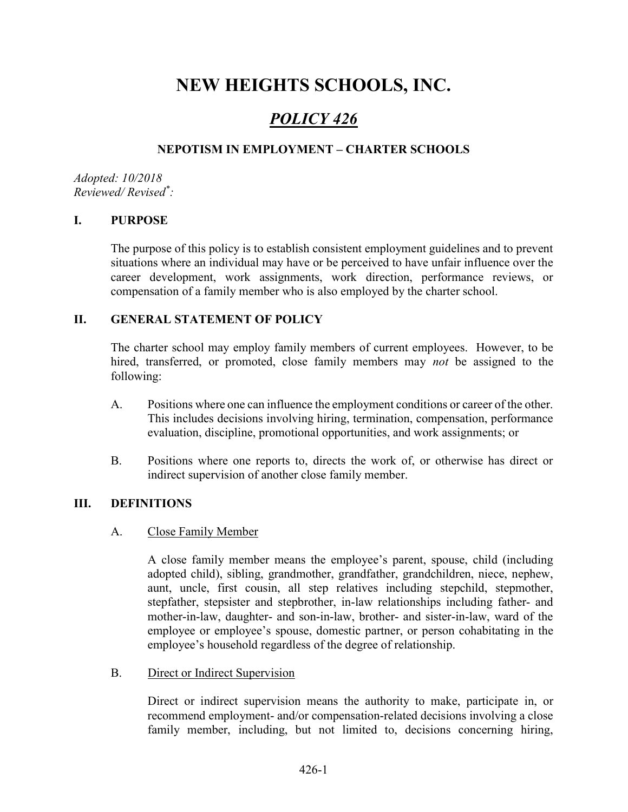# NEW HEIGHTS SCHOOLS, INC.

## POLICY 426

## NEPOTISM IN EMPLOYMENT – CHARTER SCHOOLS

Adopted: 10/2018 Reviewed/ Revised\* :

#### I. PURPOSE

The purpose of this policy is to establish consistent employment guidelines and to prevent situations where an individual may have or be perceived to have unfair influence over the career development, work assignments, work direction, performance reviews, or compensation of a family member who is also employed by the charter school.

#### II. GENERAL STATEMENT OF POLICY

The charter school may employ family members of current employees. However, to be hired, transferred, or promoted, close family members may *not* be assigned to the following:

- A. Positions where one can influence the employment conditions or career of the other. This includes decisions involving hiring, termination, compensation, performance evaluation, discipline, promotional opportunities, and work assignments; or
- B. Positions where one reports to, directs the work of, or otherwise has direct or indirect supervision of another close family member.

#### III. DEFINITIONS

#### A. Close Family Member

A close family member means the employee's parent, spouse, child (including adopted child), sibling, grandmother, grandfather, grandchildren, niece, nephew, aunt, uncle, first cousin, all step relatives including stepchild, stepmother, stepfather, stepsister and stepbrother, in-law relationships including father- and mother-in-law, daughter- and son-in-law, brother- and sister-in-law, ward of the employee or employee's spouse, domestic partner, or person cohabitating in the employee's household regardless of the degree of relationship.

B. Direct or Indirect Supervision

Direct or indirect supervision means the authority to make, participate in, or recommend employment- and/or compensation-related decisions involving a close family member, including, but not limited to, decisions concerning hiring,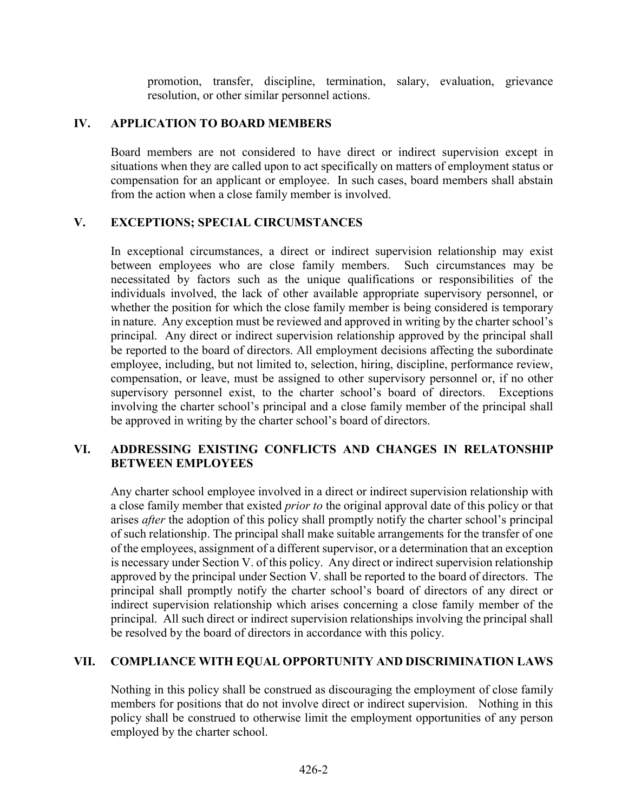promotion, transfer, discipline, termination, salary, evaluation, grievance resolution, or other similar personnel actions.

#### IV. APPLICATION TO BOARD MEMBERS

Board members are not considered to have direct or indirect supervision except in situations when they are called upon to act specifically on matters of employment status or compensation for an applicant or employee. In such cases, board members shall abstain from the action when a close family member is involved.

#### V. EXCEPTIONS; SPECIAL CIRCUMSTANCES

In exceptional circumstances, a direct or indirect supervision relationship may exist between employees who are close family members. Such circumstances may be necessitated by factors such as the unique qualifications or responsibilities of the individuals involved, the lack of other available appropriate supervisory personnel, or whether the position for which the close family member is being considered is temporary in nature. Any exception must be reviewed and approved in writing by the charter school's principal. Any direct or indirect supervision relationship approved by the principal shall be reported to the board of directors. All employment decisions affecting the subordinate employee, including, but not limited to, selection, hiring, discipline, performance review, compensation, or leave, must be assigned to other supervisory personnel or, if no other supervisory personnel exist, to the charter school's board of directors. Exceptions involving the charter school's principal and a close family member of the principal shall be approved in writing by the charter school's board of directors.

## VI. ADDRESSING EXISTING CONFLICTS AND CHANGES IN RELATONSHIP BETWEEN EMPLOYEES

Any charter school employee involved in a direct or indirect supervision relationship with a close family member that existed *prior to* the original approval date of this policy or that arises *after* the adoption of this policy shall promptly notify the charter school's principal of such relationship. The principal shall make suitable arrangements for the transfer of one of the employees, assignment of a different supervisor, or a determination that an exception is necessary under Section V. of this policy. Any direct or indirect supervision relationship approved by the principal under Section V. shall be reported to the board of directors. The principal shall promptly notify the charter school's board of directors of any direct or indirect supervision relationship which arises concerning a close family member of the principal. All such direct or indirect supervision relationships involving the principal shall be resolved by the board of directors in accordance with this policy.

## VII. COMPLIANCE WITH EQUAL OPPORTUNITY AND DISCRIMINATION LAWS

Nothing in this policy shall be construed as discouraging the employment of close family members for positions that do not involve direct or indirect supervision. Nothing in this policy shall be construed to otherwise limit the employment opportunities of any person employed by the charter school.